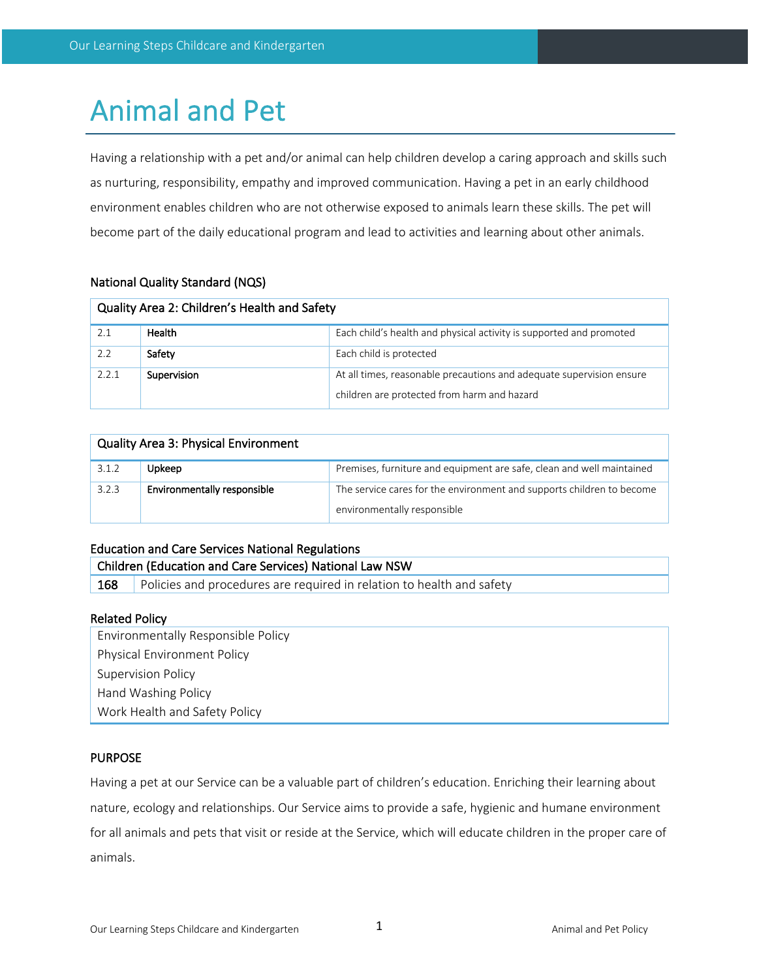# Animal and Pet

Having a relationship with a pet and/or animal can help children develop a caring approach and skills such as nurturing, responsibility, empathy and improved communication. Having a pet in an early childhood environment enables children who are not otherwise exposed to animals learn these skills. The pet will become part of the daily educational program and lead to activities and learning about other animals.

# National Quality Standard (NQS)

| Quality Area 2: Children's Health and Safety |             |                                                                      |  |  |
|----------------------------------------------|-------------|----------------------------------------------------------------------|--|--|
| 2.1                                          | Health      | Each child's health and physical activity is supported and promoted  |  |  |
| 2.2                                          | Safety      | Each child is protected                                              |  |  |
| 2.2.1                                        | Supervision | At all times, reasonable precautions and adequate supervision ensure |  |  |
|                                              |             | children are protected from harm and hazard                          |  |  |

| <b>Quality Area 3: Physical Environment</b> |                             |                                                                       |  |  |
|---------------------------------------------|-----------------------------|-----------------------------------------------------------------------|--|--|
| 3.1.2                                       | Upkeep                      | Premises, furniture and equipment are safe, clean and well maintained |  |  |
| 3.2.3                                       | Environmentally responsible | The service cares for the environment and supports children to become |  |  |
|                                             |                             | environmentally responsible                                           |  |  |

# Education and Care Services National Regulations

# Children (Education and Care Services) National Law NSW 168 Policies and procedures are required in relation to health and safety

# Related Policy

Environmentally Responsible Policy Physical Environment Policy Supervision Policy Hand Washing Policy Work Health and Safety Policy

# PURPOSE

Having a pet at our Service can be a valuable part of children's education. Enriching their learning about nature, ecology and relationships. Our Service aims to provide a safe, hygienic and humane environment for all animals and pets that visit or reside at the Service, which will educate children in the proper care of animals.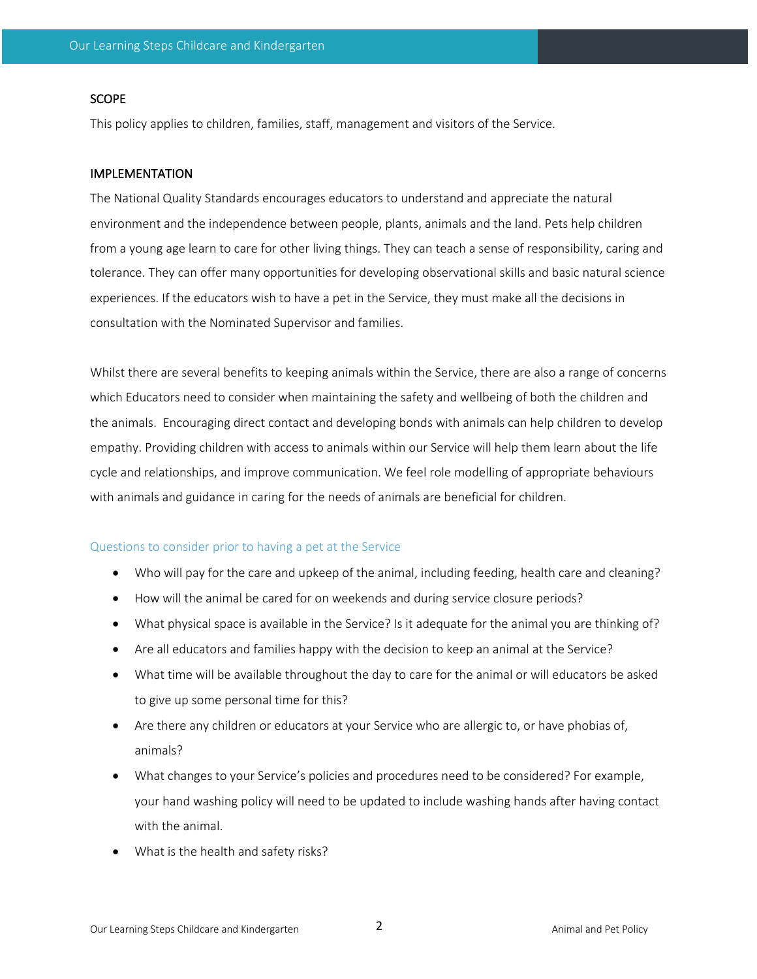# **SCOPE**

This policy applies to children, families, staff, management and visitors of the Service.

## IMPLEMENTATION

The National Quality Standards encourages educators to understand and appreciate the natural environment and the independence between people, plants, animals and the land. Pets help children from a young age learn to care for other living things. They can teach a sense of responsibility, caring and tolerance. They can offer many opportunities for developing observational skills and basic natural science experiences. If the educators wish to have a pet in the Service, they must make all the decisions in consultation with the Nominated Supervisor and families.

Whilst there are several benefits to keeping animals within the Service, there are also a range of concerns which Educators need to consider when maintaining the safety and wellbeing of both the children and the animals. Encouraging direct contact and developing bonds with animals can help children to develop empathy. Providing children with access to animals within our Service will help them learn about the life cycle and relationships, and improve communication. We feel role modelling of appropriate behaviours with animals and guidance in caring for the needs of animals are beneficial for children.

#### Questions to consider prior to having a pet at the Service

- Who will pay for the care and upkeep of the animal, including feeding, health care and cleaning?
- How will the animal be cared for on weekends and during service closure periods?
- What physical space is available in the Service? Is it adequate for the animal you are thinking of?
- Are all educators and families happy with the decision to keep an animal at the Service?
- What time will be available throughout the day to care for the animal or will educators be asked to give up some personal time for this?
- Are there any children or educators at your Service who are allergic to, or have phobias of, animals?
- What changes to your Service's policies and procedures need to be considered? For example, your hand washing policy will need to be updated to include washing hands after having contact with the animal.
- What is the health and safety risks?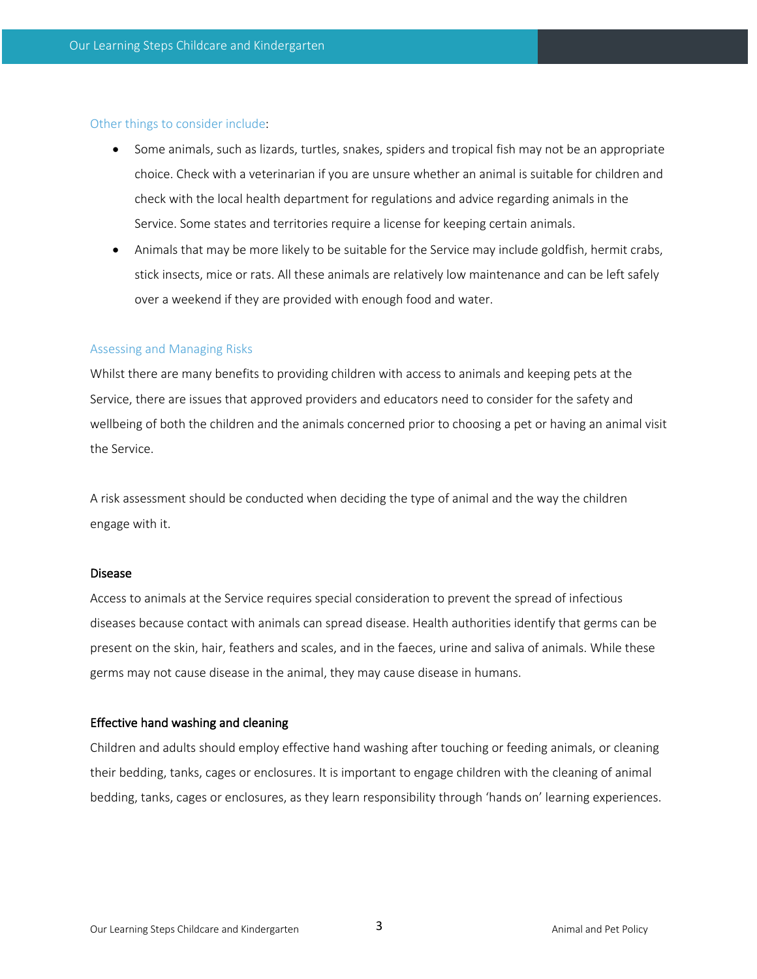#### Other things to consider include:

- Some animals, such as lizards, turtles, snakes, spiders and tropical fish may not be an appropriate choice. Check with a veterinarian if you are unsure whether an animal is suitable for children and check with the local health department for regulations and advice regarding animals in the Service. Some states and territories require a license for keeping certain animals.
- Animals that may be more likely to be suitable for the Service may include goldfish, hermit crabs, stick insects, mice or rats. All these animals are relatively low maintenance and can be left safely over a weekend if they are provided with enough food and water.

#### Assessing and Managing Risks

Whilst there are many benefits to providing children with access to animals and keeping pets at the Service, there are issues that approved providers and educators need to consider for the safety and wellbeing of both the children and the animals concerned prior to choosing a pet or having an animal visit the Service.

A risk assessment should be conducted when deciding the type of animal and the way the children engage with it.

#### Disease

Access to animals at the Service requires special consideration to prevent the spread of infectious diseases because contact with animals can spread disease. Health authorities identify that germs can be present on the skin, hair, feathers and scales, and in the faeces, urine and saliva of animals. While these germs may not cause disease in the animal, they may cause disease in humans.

#### Effective hand washing and cleaning

Children and adults should employ effective hand washing after touching or feeding animals, or cleaning their bedding, tanks, cages or enclosures. It is important to engage children with the cleaning of animal bedding, tanks, cages or enclosures, as they learn responsibility through 'hands on' learning experiences.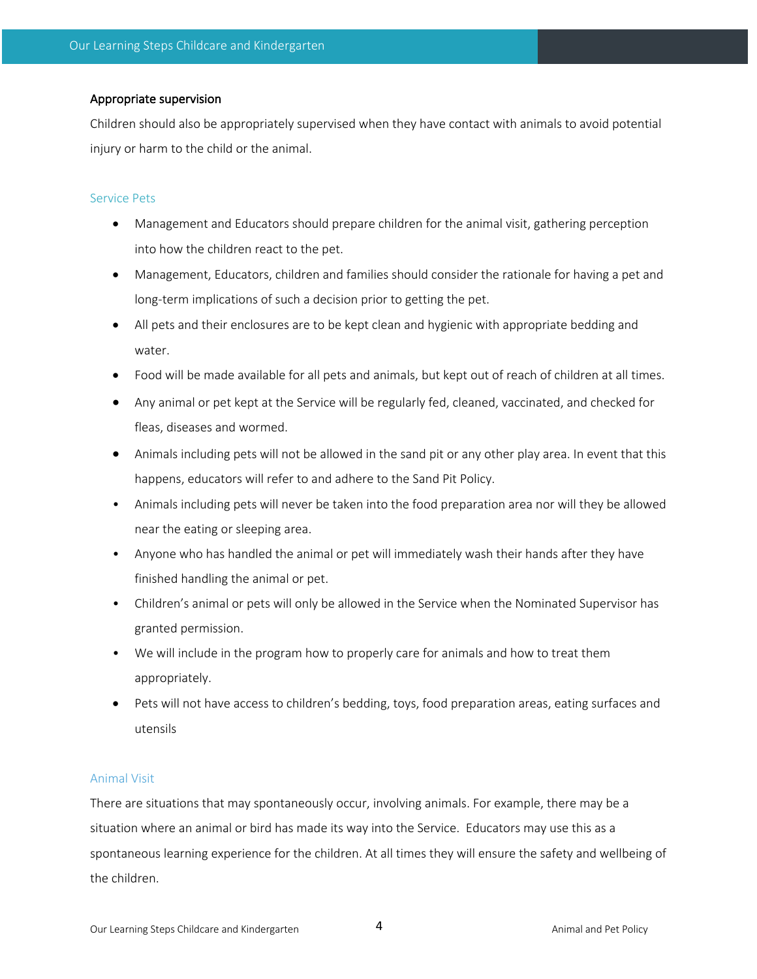# Appropriate supervision

Children should also be appropriately supervised when they have contact with animals to avoid potential injury or harm to the child or the animal.

#### Service Pets

- Management and Educators should prepare children for the animal visit, gathering perception into how the children react to the pet.
- Management, Educators, children and families should consider the rationale for having a pet and long-term implications of such a decision prior to getting the pet.
- All pets and their enclosures are to be kept clean and hygienic with appropriate bedding and water
- Food will be made available for all pets and animals, but kept out of reach of children at all times.
- Any animal or pet kept at the Service will be regularly fed, cleaned, vaccinated, and checked for fleas, diseases and wormed.
- Animals including pets will not be allowed in the sand pit or any other play area. In event that this happens, educators will refer to and adhere to the Sand Pit Policy.
- Animals including pets will never be taken into the food preparation area nor will they be allowed near the eating or sleeping area.
- Anyone who has handled the animal or pet will immediately wash their hands after they have finished handling the animal or pet.
- Children's animal or pets will only be allowed in the Service when the Nominated Supervisor has granted permission.
- We will include in the program how to properly care for animals and how to treat them appropriately.
- Pets will not have access to children's bedding, toys, food preparation areas, eating surfaces and utensils

## Animal Visit

There are situations that may spontaneously occur, involving animals. For example, there may be a situation where an animal or bird has made its way into the Service. Educators may use this as a spontaneous learning experience for the children. At all times they will ensure the safety and wellbeing of the children.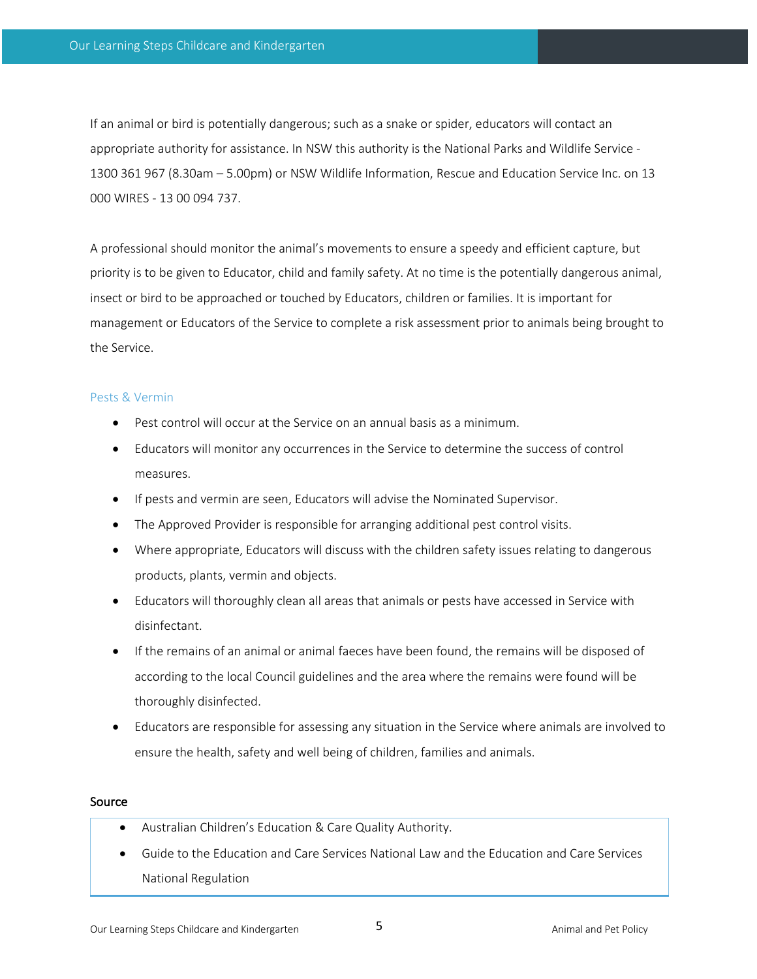If an animal or bird is potentially dangerous; such as a snake or spider, educators will contact an appropriate authority for assistance. In NSW this authority is the National Parks and Wildlife Service - 1300 361 967 (8.30am – 5.00pm) or NSW Wildlife Information, Rescue and Education Service Inc. on 13 000 WIRES - 13 00 094 737.

A professional should monitor the animal's movements to ensure a speedy and efficient capture, but priority is to be given to Educator, child and family safety. At no time is the potentially dangerous animal, insect or bird to be approached or touched by Educators, children or families. It is important for management or Educators of the Service to complete a risk assessment prior to animals being brought to the Service.

## Pests & Vermin

- Pest control will occur at the Service on an annual basis as a minimum.
- Educators will monitor any occurrences in the Service to determine the success of control measures.
- If pests and vermin are seen, Educators will advise the Nominated Supervisor.
- The Approved Provider is responsible for arranging additional pest control visits.
- Where appropriate, Educators will discuss with the children safety issues relating to dangerous products, plants, vermin and objects.
- Educators will thoroughly clean all areas that animals or pests have accessed in Service with disinfectant.
- If the remains of an animal or animal faeces have been found, the remains will be disposed of according to the local Council guidelines and the area where the remains were found will be thoroughly disinfected.
- Educators are responsible for assessing any situation in the Service where animals are involved to ensure the health, safety and well being of children, families and animals.

## Source

- Australian Children's Education & Care Quality Authority.
- Guide to the Education and Care Services National Law and the Education and Care Services National Regulation